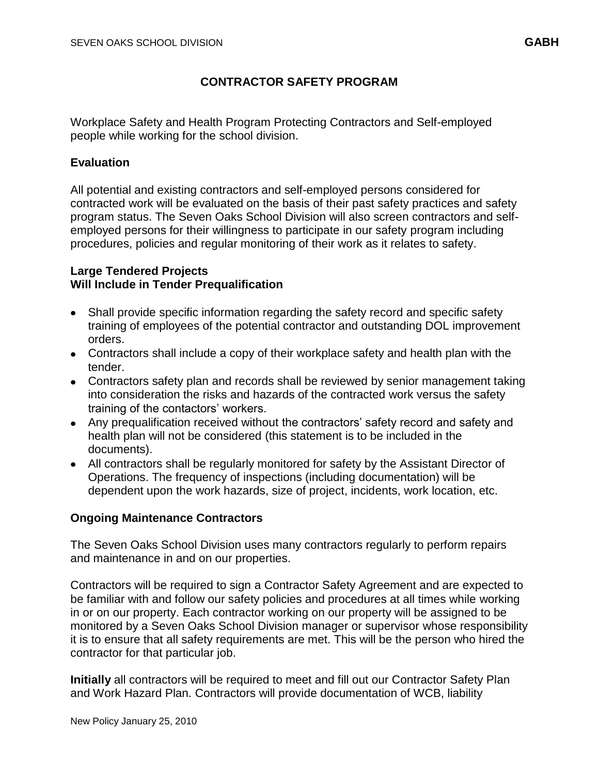# **CONTRACTOR SAFETY PROGRAM**

Workplace Safety and Health Program Protecting Contractors and Self-employed people while working for the school division.

#### **Evaluation**

All potential and existing contractors and self-employed persons considered for contracted work will be evaluated on the basis of their past safety practices and safety program status. The Seven Oaks School Division will also screen contractors and selfemployed persons for their willingness to participate in our safety program including procedures, policies and regular monitoring of their work as it relates to safety.

#### **Large Tendered Projects Will Include in Tender Prequalification**

- Shall provide specific information regarding the safety record and specific safety training of employees of the potential contractor and outstanding DOL improvement orders.
- Contractors shall include a copy of their workplace safety and health plan with the tender.
- Contractors safety plan and records shall be reviewed by senior management taking into consideration the risks and hazards of the contracted work versus the safety training of the contactors' workers.
- Any prequalification received without the contractors' safety record and safety and health plan will not be considered (this statement is to be included in the documents).
- All contractors shall be regularly monitored for safety by the Assistant Director of Operations. The frequency of inspections (including documentation) will be dependent upon the work hazards, size of project, incidents, work location, etc.

#### **Ongoing Maintenance Contractors**

The Seven Oaks School Division uses many contractors regularly to perform repairs and maintenance in and on our properties.

Contractors will be required to sign a Contractor Safety Agreement and are expected to be familiar with and follow our safety policies and procedures at all times while working in or on our property. Each contractor working on our property will be assigned to be monitored by a Seven Oaks School Division manager or supervisor whose responsibility it is to ensure that all safety requirements are met. This will be the person who hired the contractor for that particular job.

**Initially** all contractors will be required to meet and fill out our Contractor Safety Plan and Work Hazard Plan. Contractors will provide documentation of WCB, liability